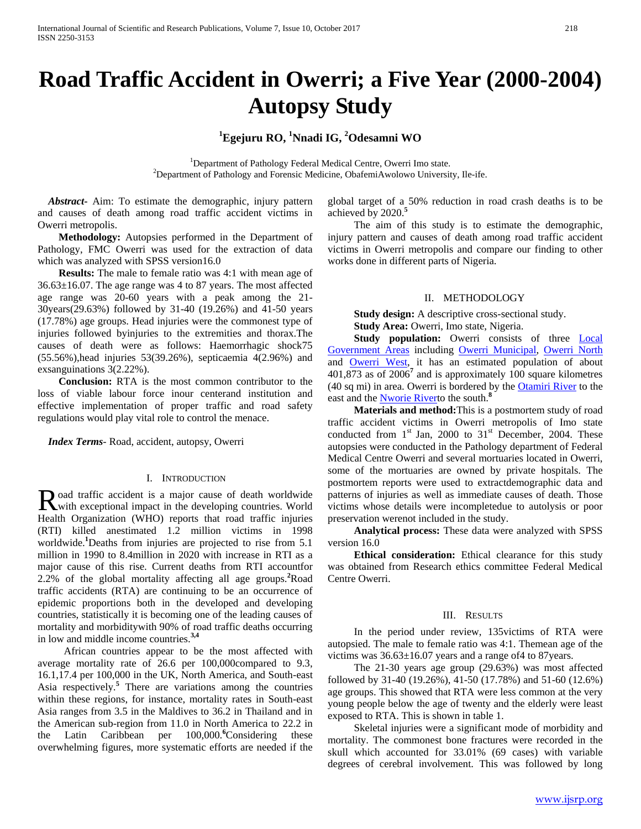# **Road Traffic Accident in Owerri; a Five Year (2000-2004) Autopsy Study**

## **1 Egejuru RO, <sup>1</sup> Nnadi IG, 2 Odesamni WO**

<sup>1</sup> Department of Pathology Federal Medical Centre, Owerri Imo state. <sup>2</sup>Department of Pathology and Forensic Medicine, ObafemiAwolowo University, Ile-ife.

 *Abstract***-** Aim: To estimate the demographic, injury pattern and causes of death among road traffic accident victims in Owerri metropolis.

 **Methodology:** Autopsies performed in the Department of Pathology, FMC Owerri was used for the extraction of data which was analyzed with SPSS version16.0

 **Results:** The male to female ratio was 4:1 with mean age of 36.63±16.07. The age range was 4 to 87 years. The most affected age range was 20-60 years with a peak among the 21- 30years(29.63%) followed by 31-40 (19.26%) and 41-50 years (17.78%) age groups. Head injuries were the commonest type of injuries followed byinjuries to the extremities and thorax.The causes of death were as follows: Haemorrhagic shock75 (55.56%),head injuries 53(39.26%), septicaemia 4(2.96%) and exsanguinations 3(2.22%).

 **Conclusion:** RTA is the most common contributor to the loss of viable labour force inour centerand institution and effective implementation of proper traffic and road safety regulations would play vital role to control the menace.

 *Index Terms*- Road, accident, autopsy, Owerri

#### I. INTRODUCTION

oad traffic accident is a major cause of death worldwide Road traffic accident is a major cause of death worldwide<br>
World exceptional impact in the developing countries. World Health Organization (WHO) reports that road traffic injuries (RTI) killed anestimated 1.2 million victims in 1998 worldwide.**<sup>1</sup>** Deaths from injuries are projected to rise from 5.1 million in 1990 to 8.4million in 2020 with increase in RTI as a major cause of this rise. Current deaths from RTI accountfor 2.2% of the global mortality affecting all age groups.**<sup>2</sup>** Road traffic accidents (RTA) are continuing to be an occurrence of epidemic proportions both in the developed and developing countries, statistically it is becoming one of the leading causes of mortality and morbiditywith 90% of road traffic deaths occurring in low and middle income countries.**3,4**

 African countries appear to be the most affected with average mortality rate of 26.6 per 100,000compared to 9.3, 16.1,17.4 per 100,000 in the UK, North America, and South-east Asia respectively.**<sup>5</sup>** There are variations among the countries within these regions, for instance, mortality rates in South-east Asia ranges from 3.5 in the Maldives to 36.2 in Thailand and in the American sub-region from 11.0 in North America to 22.2 in the Latin Caribbean per 100,000.<sup>6</sup>Considering these overwhelming figures, more systematic efforts are needed if the

global target of a 50% reduction in road crash deaths is to be achieved by 2020.**<sup>5</sup>**

 The aim of this study is to estimate the demographic, injury pattern and causes of death among road traffic accident victims in Owerri metropolis and compare our finding to other works done in different parts of Nigeria.

#### II. METHODOLOGY

 **Study design:** A descriptive cross-sectional study. **Study Area: Owerri, Imo state, Nigeria.** 

Study population: Owerri consists of three **Local** [Government Areas](https://en.wikipedia.org/wiki/Local_Government_Areas_of_Nigeria) including [Owerri Municipal,](https://en.wikipedia.org/wiki/Owerri_Municipal) [Owerri North](https://en.wikipedia.org/wiki/Owerri_North) and [Owerri West,](https://en.wikipedia.org/wiki/Owerri_West) it has an estimated population of about 401,873 as of 2006**<sup>7</sup>** and is approximately 100 square kilometres (40 sq mi) in area. Owerri is bordered by the [Otamiri River](https://en.wikipedia.org/wiki/Otamiri_River) to the

east and the [Nworie Rivert](https://en.wikipedia.org/w/index.php?title=Nworie_River&action=edit&redlink=1)o the south.**<sup>8</sup> Materials and method:**This is a postmortem study of road traffic accident victims in Owerri metropolis of Imo state conducted from  $1<sup>st</sup>$  Jan, 2000 to  $31<sup>st</sup>$  December, 2004. These autopsies were conducted in the Pathology department of Federal Medical Centre Owerri and several mortuaries located in Owerri, some of the mortuaries are owned by private hospitals. The postmortem reports were used to extractdemographic data and patterns of injuries as well as immediate causes of death. Those victims whose details were incompletedue to autolysis or poor preservation werenot included in the study.

 **Analytical process:** These data were analyzed with SPSS version 16.0

 **Ethical consideration:** Ethical clearance for this study was obtained from Research ethics committee Federal Medical Centre Owerri.

#### III. RESULTS

 In the period under review, 135victims of RTA were autopsied. The male to female ratio was 4:1. Themean age of the victims was 36.63±16.07 years and a range of4 to 87years.

 The 21-30 years age group (29.63%) was most affected followed by 31-40 (19.26%), 41-50 (17.78%) and 51-60 (12.6%) age groups. This showed that RTA were less common at the very young people below the age of twenty and the elderly were least exposed to RTA. This is shown in table 1.

 Skeletal injuries were a significant mode of morbidity and mortality. The commonest bone fractures were recorded in the skull which accounted for 33.01% (69 cases) with variable degrees of cerebral involvement. This was followed by long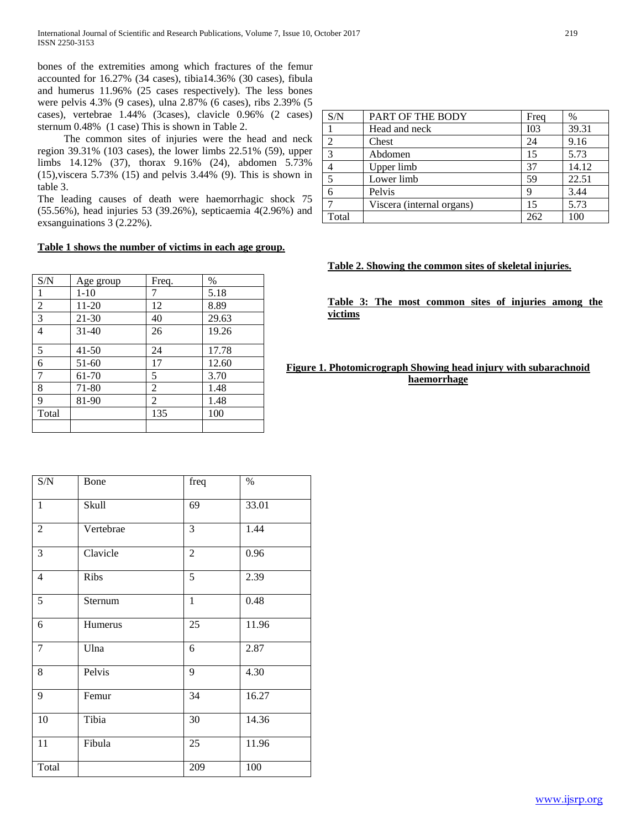bones of the extremities among which fractures of the femur accounted for 16.27% (34 cases), tibia14.36% (30 cases), fibula and humerus 11.96% (25 cases respectively). The less bones were pelvis 4.3% (9 cases), ulna 2.87% (6 cases), ribs 2.39% (5 cases), vertebrae 1.44% (3cases), clavicle 0.96% (2 cases) sternum 0.48% (1 case) This is shown in Table 2.

 The common sites of injuries were the head and neck region 39.31% (103 cases), the lower limbs 22.51% (59), upper limbs 14.12% (37), thorax 9.16% (24), abdomen 5.73% (15),viscera 5.73% (15) and pelvis 3.44% (9). This is shown in table 3.

The leading causes of death were haemorrhagic shock 75 (55.56%), head injuries 53 (39.26%), septicaemia 4(2.96%) and exsanguinations 3 (2.22%).

## **Table 1 shows the number of victims in each age group.**

| S/N            | Age group | Freq.          | $\%$  |
|----------------|-----------|----------------|-------|
| 1              | $1-10$    | 7              | 5.18  |
| $\overline{2}$ | 11-20     | 12             | 8.89  |
| 3              | 21-30     | 40             | 29.63 |
| 4              | $31 - 40$ | 26             | 19.26 |
| 5              | $41 - 50$ | 24             | 17.78 |
| 6              | 51-60     | 17             | 12.60 |
| 7              | 61-70     | 5              | 3.70  |
| 8              | 71-80     | 2              | 1.48  |
| 9              | 81-90     | $\mathfrak{D}$ | 1.48  |
| Total          |           | 135            | 100   |
|                |           |                |       |

| $\ensuremath{\mathrm{S/N}}$ | Bone      | freq           | $\%$  |
|-----------------------------|-----------|----------------|-------|
| $\mathbf{1}$                | Skull     | 69             | 33.01 |
| 2                           | Vertebrae | 3              | 1.44  |
| 3                           | Clavicle  | $\overline{2}$ | 0.96  |
| $\overline{4}$              | Ribs      | 5              | 2.39  |
| 5                           | Sternum   | $\mathbf{1}$   | 0.48  |
| 6                           | Humerus   | 25             | 11.96 |
| $\overline{7}$              | Ulna      | 6              | 2.87  |
| 8                           | Pelvis    | 9              | 4.30  |
| 9                           | Femur     | 34             | 16.27 |
| 10                          | Tibia     | 30             | 14.36 |
| 11                          | Fibula    | 25             | 11.96 |
| Total                       |           | 209            | 100   |

| S/N   | PART OF THE BODY          | Freq            | $\%$  |
|-------|---------------------------|-----------------|-------|
|       | Head and neck             | I <sub>03</sub> | 39.31 |
| 2     | Chest                     | 24              | 9.16  |
| 3     | Abdomen                   | 15              | 5.73  |
|       | Upper limb                | 37              | 14.12 |
|       | Lower limb                | 59              | 22.51 |
|       | Pelvis                    | q               | 3.44  |
|       | Viscera (internal organs) | 15              | 5.73  |
| Total |                           | 262             | 100   |

## **Table 2. Showing the common sites of skeletal injuries.**

**Table 3: The most common sites of injuries among the victims** 

## **Figure 1. Photomicrograph Showing head injury with subarachnoid haemorrhage**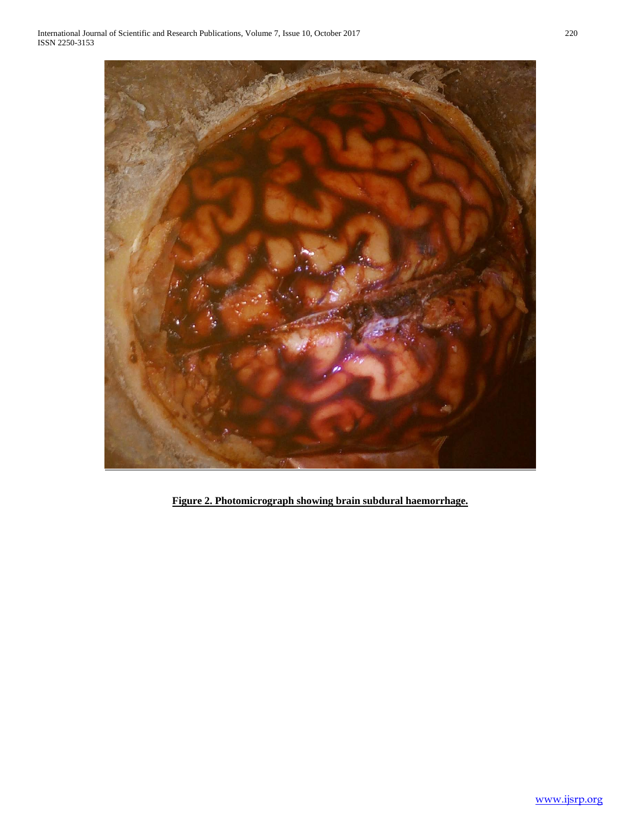

**Figure 2. Photomicrograph showing brain subdural haemorrhage.**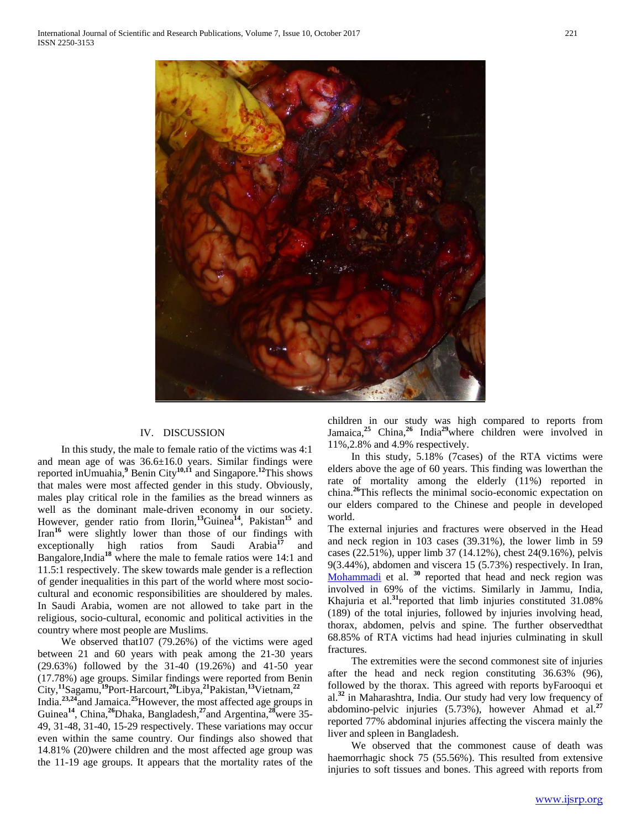

## IV. DISCUSSION

 In this study, the male to female ratio of the victims was 4:1 and mean age of was 36.6±16.0 years. Similar findings were reported inUmuahia,**<sup>9</sup>** Benin City**10,11** and Singapore.**<sup>12</sup>**This shows that males were most affected gender in this study. Obviously, males play critical role in the families as the bread winners as well as the dominant male-driven economy in our society. However, gender ratio from Ilorin,**<sup>13</sup>**Guinea**<sup>14</sup>**, Pakistan**<sup>15</sup>** and Iran**<sup>16</sup>** were slightly lower than those of our findings with exceptionally high ratios from Saudi Arabia**<sup>17</sup>** and Bangalore,India**<sup>18</sup>** where the male to female ratios were 14:1 and 11.5:1 respectively. The skew towards male gender is a reflection of gender inequalities in this part of the world where most sociocultural and economic responsibilities are shouldered by males. In Saudi Arabia, women are not allowed to take part in the religious, socio-cultural, economic and political activities in the country where most people are Muslims.

 We observed that107 (79.26%) of the victims were aged between 21 and 60 years with peak among the 21-30 years (29.63%) followed by the 31-40 (19.26%) and 41-50 year (17.78%) age groups. Similar findings were reported from Benin City,**<sup>11</sup>**Sagamu,**<sup>19</sup>**Port-Harcourt,**<sup>20</sup>**Libya,**<sup>21</sup>**Pakistan,**<sup>13</sup>**Vietnam,**<sup>22</sup>**

India.**23,24**and Jamaica.**<sup>25</sup>**However, the most affected age groups in Guinea**<sup>14</sup>**, China,**<sup>26</sup>**Dhaka, Bangladesh,**<sup>27</sup>**and Argentina,**<sup>28</sup>**were 35- 49, 31-48, 31-40, 15-29 respectively. These variations may occur even within the same country. Our findings also showed that 14.81% (20)were children and the most affected age group was the 11-19 age groups. It appears that the mortality rates of the

children in our study was high compared to reports from Jamaica,**<sup>25</sup>** China,**<sup>26</sup>** India**<sup>29</sup>**where children were involved in 11%,2.8% and 4.9% respectively.

 In this study, 5.18% (7cases) of the RTA victims were elders above the age of 60 years. This finding was lowerthan the rate of mortality among the elderly (11%) reported in china.**<sup>26</sup>**This reflects the minimal socio-economic expectation on our elders compared to the Chinese and people in developed world.

The external injuries and fractures were observed in the Head and neck region in 103 cases (39.31%), the lower limb in 59 cases (22.51%), upper limb 37 (14.12%), chest 24(9.16%), pelvis 9(3.44%), abdomen and viscera 15 (5.73%) respectively. In Iran, [Mohammadi](http://www.ncbi.nlm.nih.gov/pubmed/?term=Mohammadi%20G%5BAuthor%5D&cauthor=true&cauthor_uid=22583531) et al. <sup>30</sup> reported that head and neck region was involved in 69% of the victims. Similarly in Jammu, India, Khajuria et al.**<sup>31</sup>**reported that limb injuries constituted 31.08% (189) of the total injuries, followed by injuries involving head, thorax, abdomen, pelvis and spine. The further observedthat 68.85% of RTA victims had head injuries culminating in skull fractures.

 The extremities were the second commonest site of injuries after the head and neck region constituting 36.63% (96), followed by the thorax. This agreed with reports byFarooqui et al.**<sup>32</sup>** in Maharashtra, India. Our study had very low frequency of abdomino-pelvic injuries (5.73%), however Ahmad et al.**<sup>27</sup>** reported 77% abdominal injuries affecting the viscera mainly the liver and spleen in Bangladesh.

 We observed that the commonest cause of death was haemorrhagic shock 75 (55.56%). This resulted from extensive injuries to soft tissues and bones. This agreed with reports from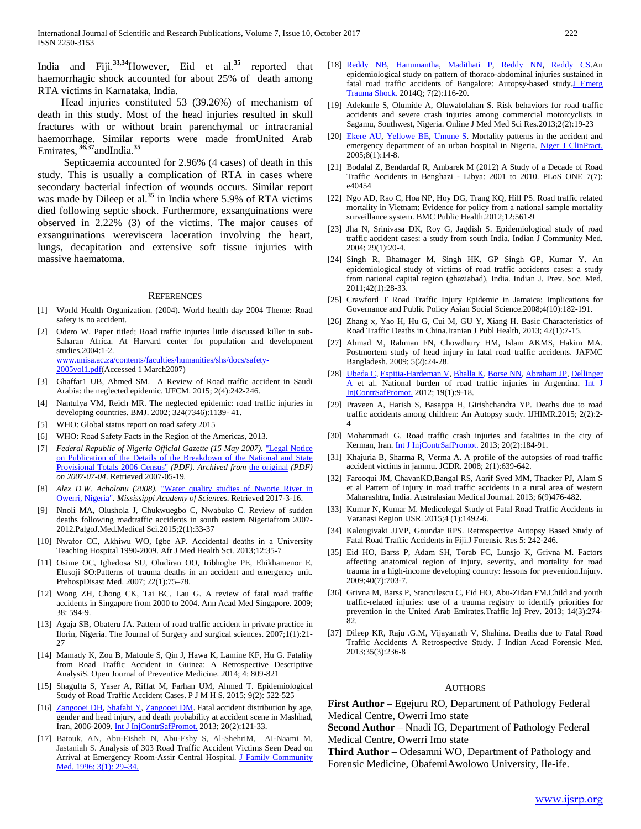India and Fiji.**33,34**However, Eid et al.**<sup>35</sup>** reported that haemorrhagic shock accounted for about 25% of death among RTA victims in Karnataka, India.

 Head injuries constituted 53 (39.26%) of mechanism of death in this study. Most of the head injuries resulted in skull fractures with or without brain parenchymal or intracranial haemorrhage. Similar reports were made fromUnited Arab Emirates, **36,37**andIndia.**<sup>35</sup>**

 Septicaemia accounted for 2.96% (4 cases) of death in this study. This is usually a complication of RTA in cases where secondary bacterial infection of wounds occurs. Similar report was made by Dileep et al.**<sup>35</sup>** in India where 5.9% of RTA victims died following septic shock. Furthermore, exsanguinations were observed in 2.22% (3) of the victims. The major causes of exsanguinations wereviscera laceration involving the heart, lungs, decapitation and extensive soft tissue injuries with massive haematoma.

#### **REFERENCES**

- [1] World Health Organization. (2004). World health day 2004 Theme: Road safety is no accident.
- [2] Odero W. Paper titled; Road traffic injuries little discussed killer in sub-Saharan Africa. At Harvard center for population and development studies.2004:1-2. [www.unisa.ac.za/contents/faculties/humanities/s](http://www.unisa.ac.za/contents/faculties/humanities/)hs/docs/safety-2005vol1.pdf(Accessed 1 March2007)
- [3] Ghaffar1 UB, Ahmed SM. A Review of Road traffic accident in Saudi Arabia: the neglected epidemic. IJFCM. 2015; 2(4):242-246.
- [4] Nantulya VM, Reich MR. The neglected epidemic: road traffic injuries in developing countries. BMJ. 2002; 324(7346):1139- 41.
- [5] WHO: Global status report on road safety 2015
- [6] WHO: Road Safety Facts in the Region of the Americas, 2013.
- [7] *Federal Republic of Nigeria Official Gazette (15 May 2007).* ["Legal Notice](https://web.archive.org/web/20070704042011/http:/www.nigerianstat.gov.ng/Connections/Pop2006.pdf)  [on Publication of the Details of the Breakdown of the National and State](https://web.archive.org/web/20070704042011/http:/www.nigerianstat.gov.ng/Connections/Pop2006.pdf)  [Provisional Totals 2006 Census"](https://web.archive.org/web/20070704042011/http:/www.nigerianstat.gov.ng/Connections/Pop2006.pdf) *(PDF). Archived from* [the original](http://www.nigerianstat.gov.ng/Connections/Pop2006.pdf) *(PDF) on 2007-07-04*. Retrieved 2007-05-19*.*
- [8] *Alex D.W. Acholonu (2008).* ["Water quality studies of Nworie River in](http://www.thefreelibrary.com/Water+quality+studies+of+Nworie+River+in+Owerri,+Nigeria.-a0199604520)  [Owerri, Nigeria"](http://www.thefreelibrary.com/Water+quality+studies+of+Nworie+River+in+Owerri,+Nigeria.-a0199604520)*. Mississippi Academy of Sciences*. Retrieved 2017-3-16.
- [9] Nnoli MA, Olushola J, Chukwuegbo C, Nwabuko C. Review of sudden deaths following roadtraffic accidents in south eastern Nigeriafrom 2007- 2012.PalgoJ.Med.Medical Sci.2015;2(1):33-37
- [10] Nwafor CC, Akhiwu WO, Igbe AP. Accidental deaths in a University Teaching Hospital 1990-2009. Afr J Med Health Sci. 2013;12:35-7
- [11] Osime OC, Ighedosa SU, Oludiran OO, Iribhogbe PE, Ehikhamenor E, Elusoji SO:Patterns of trauma deaths in an accident and emergency unit. PrehospDisast Med. 2007; 22(1):75–78.
- [12] Wong ZH, Chong CK, Tai BC, Lau G. A review of fatal road traffic accidents in Singapore from 2000 to 2004. Ann Acad Med Singapore. 2009; 38: 594-9.
- [13] Agaja SB, Obateru JA. Pattern of road traffic accident in private practice in Ilorin, Nigeria. The Journal of Surgery and surgical sciences. 2007;1(1):21- 27
- [14] Mamady K, Zou B, Mafoule S, Qin J, Hawa K, Lamine KF, Hu G. Fatality from Road Traffic Accident in Guinea: A Retrospective Descriptive AnalysiS. Open Journal of Preventive Medicine. 2014; 4: 809-821
- [15] Shagufta S, Yaser A, Riffat M, Farhan UM, Ahmed T. Epidemiological Study of Road Traffic Accident Cases. P J M H S. 2015; 9(2): 522-525
- [16] [Zangooei DH,](http://www.ncbi.nlm.nih.gov/pubmed/?term=Zangooei%20Dovom%20H%5BAuthor%5D&cauthor=true&cauthor_uid=22681408) [Shafahi Y,](http://www.ncbi.nlm.nih.gov/pubmed/?term=Shafahi%20Y%5BAuthor%5D&cauthor=true&cauthor_uid=22681408) [Zangooei DM.](http://www.ncbi.nlm.nih.gov/pubmed/?term=Zangooei%20Dovom%20M%5BAuthor%5D&cauthor=true&cauthor_uid=22681408) Fatal accident distribution by age, gender and head injury, and death probability at accident scene in Mashhad, Iran, 2006-2009. Int J InjContrSafPromot. 2013; 20(2):121-33.
- [17] Batouk, AN, Abu-Eisheh N, Abu-Eshy S, Al-ShehriM, AI-Naami M, Jastaniah S. Analysis of 303 Road Traffic Accident Victims Seen Dead on Arrival at Emergency Room-Assir Central Hospital. J Family Community Med. 1996; 3(1): 29–34.
- [18] [Reddy NB,](http://www.ncbi.nlm.nih.gov/pubmed/?term=Reddy%20NB%5BAuthor%5D&cauthor=true&cauthor_uid=24812457) [Hanumantha,](http://www.ncbi.nlm.nih.gov/pubmed/?term=Hanumantha%5BAuthor%5D&cauthor=true&cauthor_uid=24812457) [Madithati P,](http://www.ncbi.nlm.nih.gov/pubmed/?term=Madithati%20P%5BAuthor%5D&cauthor=true&cauthor_uid=24812457) [Reddy NN,](http://www.ncbi.nlm.nih.gov/pubmed/?term=Reddy%20NN%5BAuthor%5D&cauthor=true&cauthor_uid=24812457) [Reddy CS.](http://www.ncbi.nlm.nih.gov/pubmed/?term=Reddy%20CS%5BAuthor%5D&cauthor=true&cauthor_uid=24812457)An epidemiological study on pattern of thoraco-abdominal injuries sustained in fatal road traffic accidents of Bangalore: Autopsy-based study.J Emerg [Trauma Shock.](http://www.ncbi.nlm.nih.gov/pubmed/24812457) 2014Q; 7(2):116-20.
- [19] Adekunle S, Olumide A, Oluwafolahan S. Risk behaviors for road traffic accidents and severe crash injuries among commercial motorcyclists in Sagamu, Southwest, Nigeria. Online J Med Med Sci Res.2013;2(2):19-23
- [20] [Ekere AU,](http://www.ncbi.nlm.nih.gov/pubmed/?term=Ekere%20AU%5BAuthor%5D&cauthor=true&cauthor_uid=16392450) [Yellowe BE,](http://www.ncbi.nlm.nih.gov/pubmed/?term=Yellowe%20BE%5BAuthor%5D&cauthor=true&cauthor_uid=16392450) [Umune S.](http://www.ncbi.nlm.nih.gov/pubmed/?term=Umune%20S%5BAuthor%5D&cauthor=true&cauthor_uid=16392450) Mortality patterns in the accident and emergency department of an urban hospital in Nigeria. Niger J ClinPract. 2005;8(1):14-8.
- [21] Bodalal Z, Bendardaf R, Ambarek M (2012) A Study of a Decade of Road Traffic Accidents in Benghazi - Libya: 2001 to 2010. PLoS ONE 7(7): e40454
- [22] Ngo AD, Rao C, Hoa NP, Hoy DG, Trang KQ, Hill PS. Road traffic related mortality in Vietnam: Evidence for policy from a national sample mortality surveillance system. BMC Public Health.2012;12:561-9
- [23] Jha N, Srinivasa DK, Roy G, Jagdish S. Epidemiological study of road traffic accident cases: a study from south India. Indian J Community Med. 2004; 29(1):20-4.
- [24] Singh R, Bhatnager M, Singh HK, GP Singh GP, Kumar Y. An epidemiological study of victims of road traffic accidents cases: a study from national capital region (ghaziabad), India. Indian J. Prev. Soc. Med. 2011;42(1):28-33.
- [25] Crawford T Road Traffic Injury Epidemic in Jamaica: Implications for Governance and Public Policy Asian Social Science.2008;4(10):182-191.
- [26] Zhang x, Yao H, Hu G, Cui M, GU Y, Xiang H. Basic Characteristics of Road Traffic Deaths in China.Iranian J Publ Health, 2013; 42(1):7-15.
- [27] Ahmad M, Rahman FN, Chowdhury HM, Islam AKMS, Hakim MA. Postmortem study of head injury in fatal road traffic accidents. JAFMC Bangladesh. 2009; 5(2):24-28.
- [28] [Ubeda C,](http://www.ncbi.nlm.nih.gov/pubmed/?term=Ubeda%20C%5BAuthor%5D&cauthor=true&cauthor_uid=21660797) [Espitia-Hardeman V,](http://www.ncbi.nlm.nih.gov/pubmed/?term=Espitia-Hardeman%20V%5BAuthor%5D&cauthor=true&cauthor_uid=21660797) [Bhalla K,](http://www.ncbi.nlm.nih.gov/pubmed/?term=Bhalla%20K%5BAuthor%5D&cauthor=true&cauthor_uid=21660797) [Borse NN,](http://www.ncbi.nlm.nih.gov/pubmed/?term=Borse%20NN%5BAuthor%5D&cauthor=true&cauthor_uid=21660797) [Abraham JP,](http://www.ncbi.nlm.nih.gov/pubmed/?term=Abraham%20JP%5BAuthor%5D&cauthor=true&cauthor_uid=21660797) Dellinger [A](http://www.ncbi.nlm.nih.gov/pubmed/?term=Dellinger%20A%5BAuthor%5D&cauthor=true&cauthor_uid=21660797) et al. National burden of road traffic injuries in Argentina. Int J InjContrSafPromot. 2012; 19(1):9-18.
- [29] Praveen A, Harish S, Basappa H, Girishchandra YP. Deaths due to road traffic accidents among children: An Autopsy study. IJHIMR.2015; 2(2):2- 4
- [30] Mohammadi G. Road traffic crash injuries and fatalities in the city of Kerman, Iran. *Int J InjContrSafPromot.* 2013; 20(2):184-91.
- [31] Khajuria B, Sharma R, Verma A. A profile of the autopsies of road traffic accident victims in jammu. JCDR. 2008; 2(1):639-642.
- [32] Farooqui JM, ChavanKD,Bangal RS, Aarif Syed MM, Thacker PJ, Alam S et al Pattern of injury in road traffic accidents in a rural area of western Maharashtra, India. Australasian Medical Journal. 2013; 6(9)476-482.
- [33] Kumar N, Kumar M. Medicolegal Study of Fatal Road Traffic Accidents in Varanasi Region IJSR. 2015;4 (1):1492-6.
- [34] Kalougivaki JJVP, Goundar RPS. Retrospective Autopsy Based Study of Fatal Road Traffic Accidents in Fiji.J Forensic Res 5: 242-246.
- [35] Eid HO, Barss P, Adam SH, Torab FC, Lunsjo K, Grivna M. Factors affecting anatomical region of injury, severity, and mortality for road trauma in a high-income developing country: lessons for prevention.Injury. 2009;40(7):703-7.
- [36] [Grivna M,](https://www.ncbi.nlm.nih.gov/pubmed/?term=Grivna%20M%5BAuthor%5D&cauthor=true&cauthor_uid=23441946) [Barss P,](https://www.ncbi.nlm.nih.gov/pubmed/?term=Barss%20P%5BAuthor%5D&cauthor=true&cauthor_uid=23441946) [Stanculescu C,](https://www.ncbi.nlm.nih.gov/pubmed/?term=Stanculescu%20C%5BAuthor%5D&cauthor=true&cauthor_uid=23441946) [Eid HO,](https://www.ncbi.nlm.nih.gov/pubmed/?term=Eid%20HO%5BAuthor%5D&cauthor=true&cauthor_uid=23441946) [Abu-Zidan FM.C](https://www.ncbi.nlm.nih.gov/pubmed/?term=Abu-Zidan%20FM%5BAuthor%5D&cauthor=true&cauthor_uid=23441946)hild and youth traffic-related injuries: use of a trauma registry to identify priorities for prevention in the United Arab Emirates.Traffic Inj Prev. 2013; 14(3):274- 82.
- [37] Dileep KR, Raju .G.M, Vijayanath V, Shahina. Deaths due to Fatal Road Traffic Accidents A Retrospective Study. J Indian Acad Forensic Med. 2013;35(3):236-8

#### AUTHORS

**First Author** – Egejuru RO, Department of Pathology Federal Medical Centre, Owerri Imo state

**Second Author** – Nnadi IG, Department of Pathology Federal Medical Centre, Owerri Imo state

**Third Author** – Odesamni WO, Department of Pathology and Forensic Medicine, ObafemiAwolowo University, Ile-ife.